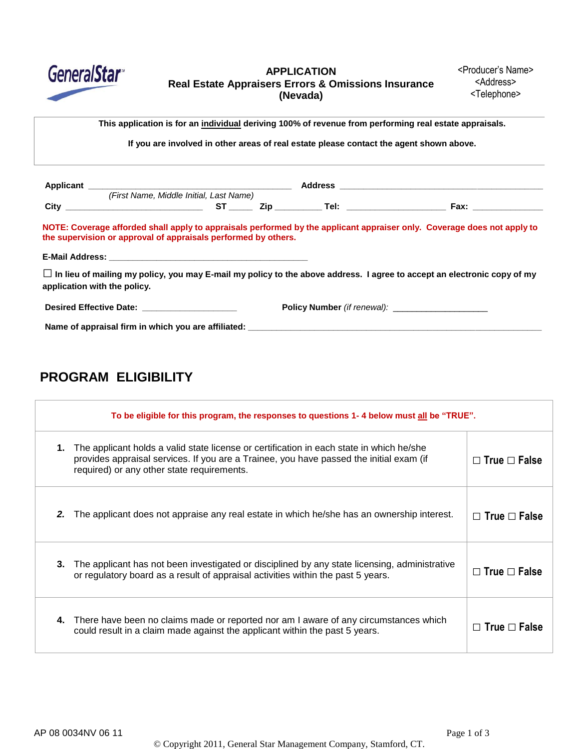

**APPLICATION Real Estate Appraisers Errors & Omissions Insurance (Nevada)**

**This application is for an individual deriving 100% of revenue from performing real estate appraisals.**

**If you are involved in other areas of real estate please contact the agent shown above.**

|                                                                | (First Name, Middle Initial, Last Name) |  |                                                                                                                                |
|----------------------------------------------------------------|-----------------------------------------|--|--------------------------------------------------------------------------------------------------------------------------------|
|                                                                |                                         |  |                                                                                                                                |
| the supervision or approval of appraisals performed by others. |                                         |  | NOTE: Coverage afforded shall apply to appraisals performed by the applicant appraiser only. Coverage does not apply to        |
|                                                                |                                         |  |                                                                                                                                |
|                                                                |                                         |  | $\Box$ In lieu of mailing my policy, you may E-mail my policy to the above address. I agree to accept an electronic copy of my |
| application with the policy.                                   |                                         |  |                                                                                                                                |
| Desired Effective Date: ________________________               |                                         |  | <b>Policy Number</b> (if renewal):                                                                                             |

## **PROGRAM ELIGIBILITY**

|    | To be eligible for this program, the responses to questions 1-4 below must all be "TRUE".                                                                                                                                         |                          |  |  |
|----|-----------------------------------------------------------------------------------------------------------------------------------------------------------------------------------------------------------------------------------|--------------------------|--|--|
| 1. | The applicant holds a valid state license or certification in each state in which he/she<br>provides appraisal services. If you are a Trainee, you have passed the initial exam (if<br>required) or any other state requirements. | $\Box$ True $\Box$ False |  |  |
| 2. | The applicant does not appraise any real estate in which he/she has an ownership interest.                                                                                                                                        | $\Box$ True $\Box$ False |  |  |
| 3. | The applicant has not been investigated or disciplined by any state licensing, administrative<br>or regulatory board as a result of appraisal activities within the past 5 years.                                                 | $\Box$ True $\Box$ False |  |  |
| 4. | There have been no claims made or reported nor am I aware of any circumstances which<br>could result in a claim made against the applicant within the past 5 years.                                                               | $\Box$ True $\Box$ False |  |  |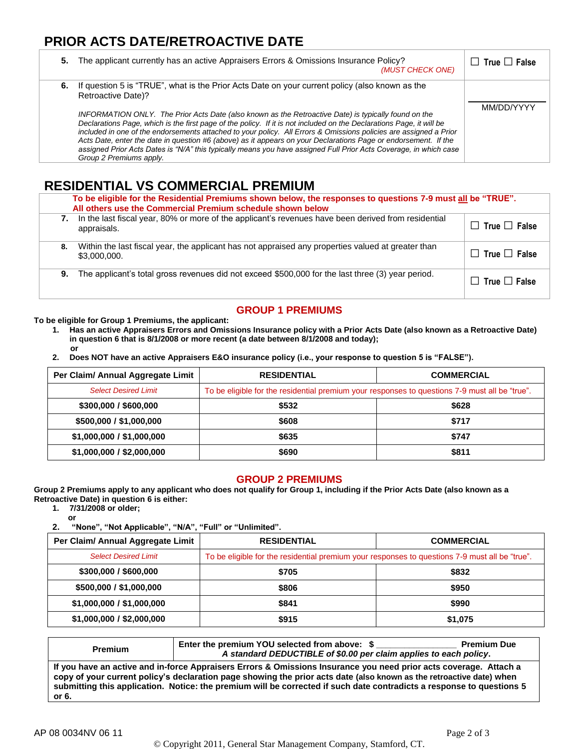# **PRIOR ACTS DATE/RETROACTIVE DATE**

| 5. | The applicant currently has an active Appraisers Errors & Omissions Insurance Policy?<br>(MUST CHECK ONE)                                                                                                                                                                                                                                                                                                                                                                                                                                                                                                                                                                                                                                       | $\Box$ True $\Box$ False |
|----|-------------------------------------------------------------------------------------------------------------------------------------------------------------------------------------------------------------------------------------------------------------------------------------------------------------------------------------------------------------------------------------------------------------------------------------------------------------------------------------------------------------------------------------------------------------------------------------------------------------------------------------------------------------------------------------------------------------------------------------------------|--------------------------|
|    | 6. If question 5 is "TRUE", what is the Prior Acts Date on your current policy (also known as the<br>Retroactive Date)?<br>INFORMATION ONLY. The Prior Acts Date (also known as the Retroactive Date) is typically found on the<br>Declarations Page, which is the first page of the policy. If it is not included on the Declarations Page, it will be<br>included in one of the endorsements attached to your policy. All Errors & Omissions policies are assigned a Prior<br>Acts Date, enter the date in question #6 (above) as it appears on your Declarations Page or endorsement. If the<br>assigned Prior Acts Dates is "N/A" this typically means you have assigned Full Prior Acts Coverage, in which case<br>Group 2 Premiums apply. | MM/DD/YYYY               |

## **RESIDENTIAL VS COMMERCIAL PREMIUM**

|    | To be eligible for the Residential Premiums shown below, the responses to questions 7-9 must all be "TRUE".<br>All others use the Commercial Premium schedule shown below |                          |  |  |
|----|---------------------------------------------------------------------------------------------------------------------------------------------------------------------------|--------------------------|--|--|
| 7. | In the last fiscal year, 80% or more of the applicant's revenues have been derived from residential<br>appraisals.                                                        | $\Box$ True $\Box$ False |  |  |
| 8. | Within the last fiscal year, the applicant has not appraised any properties valued at greater than<br>\$3,000,000.                                                        | $\Box$ True $\Box$ False |  |  |
| 9. | The applicant's total gross revenues did not exceed \$500,000 for the last three (3) year period.                                                                         | $\Box$ True $\Box$ False |  |  |

### **GROUP 1 PREMIUMS**

**To be eligible for Group 1 Premiums, the applicant:**

- **1. Has an active Appraisers Errors and Omissions Insurance policy with a Prior Acts Date (also known as a Retroactive Date) in question 6 that is 8/1/2008 or more recent (a date between 8/1/2008 and today); or**
- **2. Does NOT have an active Appraisers E&O insurance policy (i.e., your response to question 5 is "FALSE").**

| Per Claim/ Annual Aggregate Limit | <b>RESIDENTIAL</b>                                                                             | <b>COMMERCIAL</b> |  |
|-----------------------------------|------------------------------------------------------------------------------------------------|-------------------|--|
| <b>Select Desired Limit</b>       | To be eligible for the residential premium your responses to questions 7-9 must all be "true". |                   |  |
| \$300,000 / \$600,000             | \$532                                                                                          | \$628             |  |
| \$500,000 / \$1,000,000           | \$608                                                                                          | \$717             |  |
| \$1,000,000 / \$1,000,000         | \$635                                                                                          | \$747             |  |
| \$1,000,000 / \$2,000,000         | \$690                                                                                          | \$811             |  |

#### **GROUP 2 PREMIUMS**

**Group 2 Premiums apply to any applicant who does not qualify for Group 1, including if the Prior Acts Date (also known as a Retroactive Date) in question 6 is either:**

**1. 7/31/2008 or older;**

**or 2. "None", "Not Applicable", "N/A", "Full" or "Unlimited".**

| Per Claim/ Annual Aggregate Limit | <b>RESIDENTIAL</b>                                                                             | <b>COMMERCIAL</b> |  |
|-----------------------------------|------------------------------------------------------------------------------------------------|-------------------|--|
| <b>Select Desired Limit</b>       | To be eligible for the residential premium your responses to questions 7-9 must all be "true". |                   |  |
| \$300,000 / \$600,000             | \$705                                                                                          | \$832             |  |
| \$500,000 / \$1,000,000           | \$806                                                                                          | \$950             |  |
| \$1,000,000 / \$1,000,000         | \$841                                                                                          | \$990             |  |
| \$1,000,000 / \$2,000,000         | \$915                                                                                          | \$1,075           |  |

| <b>Premium</b>                                                                                                                                                                                                                                                                                                                                                              | Enter the premium YOU selected from above: \$<br>A standard DEDUCTIBLE of \$0.00 per claim applies to each policy. | <b>Premium Due</b> |  |
|-----------------------------------------------------------------------------------------------------------------------------------------------------------------------------------------------------------------------------------------------------------------------------------------------------------------------------------------------------------------------------|--------------------------------------------------------------------------------------------------------------------|--------------------|--|
| If you have an active and in-force Appraisers Errors & Omissions Insurance you need prior acts coverage. Attach a<br>copy of your current policy's declaration page showing the prior acts date (also known as the retroactive date) when<br>submitting this application. Notice: the premium will be corrected if such date contradicts a response to questions 5<br>or 6. |                                                                                                                    |                    |  |